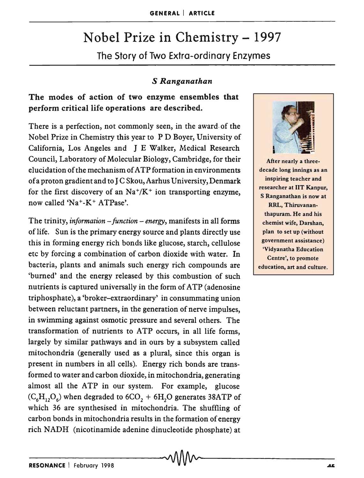# Nobel Prize in Chemistry - 1997

The Story of Two Extra-ordinary Enzymes

### *S Ranganathan*

# The modes of action of two enzyme ensembles that perform critical life operations are described.

There is a perfection, not commonly seen, in the award· of the Nobel Prize in Chemistry this year to P D Boyer, University of California, Los Angeles and J E Walker, Medical Research Council, Laboratory of Molecular Biology, Cambridge, for their elucidation of the mechanism of A TP formation in environments of a proton gradient and to J C Skou, Aarhus University, Denmark for the first discovery of an  $Na^+/K^+$  ion transporting enzyme, now called 'Na+-K+ ATPase'.

The trinity, *information – function – energy*, manifests in all forms of life. Sun is the primary energy source and plants directly use this in forming energy rich bonds like glucose, starch, cellulose etc by forcing a combination of carbon dioxide with water. In bacteria, plants and animals such energy rich compounds are 'burned' and the energy released by this combustion of such nutrients is captured universally in the form of ATP (adenosine triphosphate), a 'broker-extraordinary' in consummating union between reluctant partners, in the generation of nerve impulses, in swimming against osmotic pressure and several others. The transformation of nutrients to ATP occurs, in all life forms, largely by similar pathways and in ours by a subsystem called mitochondria (generally used as a plural, since this organ is present in numbers in all cells). Energy rich bonds are transformed to water and carbon dioxide, in mitochondria, generating almost all the ATP in our system. For example, glucose  $(C_6H_{12}O_6)$  when degraded to  $6CO_2 + 6H_2O$  generates 38ATP of which 36 are synthesised in mitochondria. The shuffling of carbon bonds in mitochondria results in the formation of energy rich NADH (nicotinamide adenine dinucleotide phosphate) at



After nearly a threedecade long innings as an inspiring teacher and researcher at lIT Kanpur, S Ranganathan is now at RRL, Thiruvananthapuram. He and his chemist wife, Darshan, plan to set up (without government assistance) 'Vidyanatha Education Centre', to promote education, art and culture.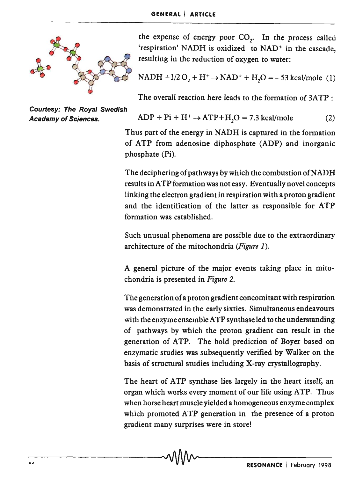

the expense of energy poor  $CO<sub>1</sub>$ . In the process called 'respiration' NADH is oxidized to NAD<sup>+</sup> in the cascade, resulting in the reduction of oxygen to water:

NADH +1/2 O<sub>2</sub> + H<sup>+</sup> 
$$
\rightarrow
$$
 NAD<sup>+</sup> + H<sub>2</sub>O = -53 kcal/mole (1)

The overall reaction here leads to the formation of  $3ATP$ .

$$
ADP + Pi + H^{+} \rightarrow ATP + H, O = 7.3 \text{ kcal/mole}
$$
 (2)

Thus part of the energy in NADH is captured in the formation of ATP from adenosine diphosphate (ADP) and inorganic phosphate (Pi).

The deciphering of pathways by which the combustion of NADH results in ATP formation was not easy. Eventually novel concepts linking the electron gradient in respiration with a proton gradient and the identification of the latter as responsible for ATP formation was established.

Such unusual phenomena are possible due to the extraordinary architecture of the mitochondria *(Figure 1).* 

A general picture of the major events taking place in mitochondria is presented in *Figure 2.* 

The generation of a proton gradient concomitant with respiration was demonstrated in the early sixties. Simultaneous endeavours with the enzyme ensemble ATP synthase led to the understanding of pathways by which the proton gradient can result in the generation of ATP. The bold prediction of Boyer based on enzymatic studies was subsequently verified by Walker on the basis of structural studies including X-ray crystallography.

The heart of ATP synthase lies largely in the heart itself, an organ which works every moment of our life using ATP. Thus when horse heart muscle yielded a homogeneous enzyme complex which promoted ATP generation in the presence of a proton gradient many surprises were in store!

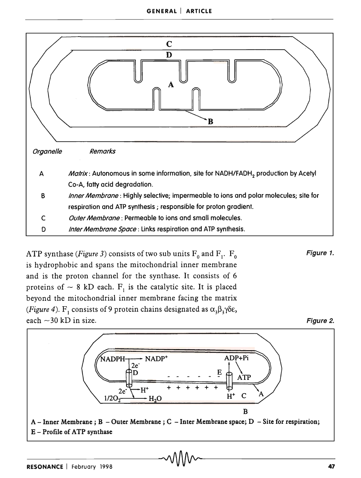

ATP synthase *(Figure 3)* consists of two sub units  $F_0$  and  $F_1$ .  $F_0$ is hydrophobic and spans the mitochondrial inner membrane and is the proton channel for the synthase. It consists of 6 proteins of  $\sim 8$  kD each. F<sub>1</sub> is the catalytic site. It is placed beyond the mitochondrial inner membrane facing the matrix *(Figure 4).* F<sub>1</sub> consists of 9 protein chains designated as  $\alpha_3 \beta_3 \gamma \delta \epsilon$ , each  $\sim$  30 kD in size.



Figure 1.

Figure 2.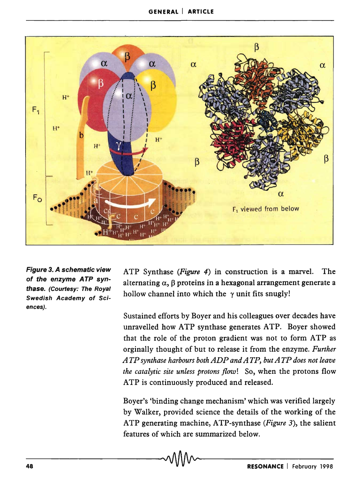

Figure 3. A schematic view of the enzyme ATP synthase. (Courtesy: The Royal Swedish Academy of Sciences).

A TP Synthase *(Figure* 4) in construction is a marvel. The alternating  $\alpha$ ,  $\beta$  proteins in a hexagonal arrangement generate a hollow channel into which the *y* unit fits snugly!

Sustained efforts by Boyer and his colleagues over decades have unravelled how ATP synthase generates ATP. Boyer showed that the role of the proton gradient was not to form ATP as orginally thought of but to release it from the enzyme. *Further A TP synthase harbours both ADP and A TP, but A TP does not leave the catalytic site unless protons flow!* So, when the protons flow ATP is continuously produced and released.

Boyer's 'binding change mechanism' which was verified largely by Walker, provided science the details of the working of the A TP generating machine, A TP-synthase *(Figure* 3), the salient features of which are summarized below.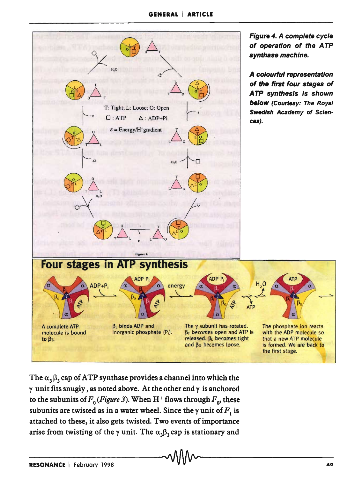

The  $\alpha$ <sub>3</sub> $\beta$ <sub>3</sub> cap of ATP synthase provides a channel into which the *y* unit fits snugly, as noted above. At the other end *y* is anchored to the subunits of  $F_0$  (*Figure 3*). When H<sup>+</sup> flows through  $F_0$ , these subunits are twisted as in a water wheel. Since the  $\gamma$  unit of  $F_1$  is attached to these, it also gets twisted. Two events of importance arise from twisting of the  $\gamma$  unit. The  $\alpha_3\beta_3$  cap is stationary and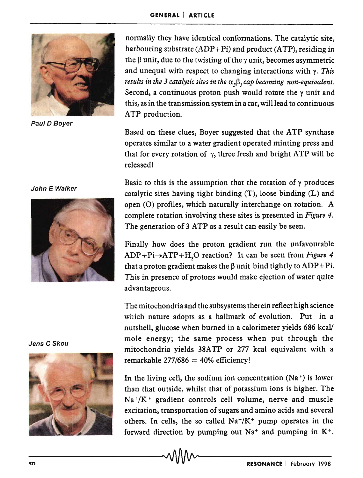

Paul D Boyer

#### John E Walker



ATP production. Based on these clues, Boyer suggested that the ATP synthase operates similar to a water gradient operated minting press and that for every rotation of  $\gamma$ , three fresh and bright ATP will be released!

normally they have identical conformations. The catalytic site, harbouring substrate  $(ADP+Pi)$  and product  $(ATP)$ , residing in the  $\beta$  unit, due to the twisting of the  $\gamma$  unit, becomes asymmetric and unequal with respect to changing interactions with  $\gamma$ . *This results in the 3 catalytic sites in the*  $\alpha$ , $\beta$ , *cap becoming non-equivalent.* Second, a continuous proton push would rotate the  $\gamma$  unit and this, as in the transmission system in a car, will lead to continuous

Basic to this is the assumption that the rotation of  ${\gamma}$  produces catalytic sites having tight binding  $(T)$ , loose binding  $(L)$  and open (0) profiles, which naturally interchange on rotation. A complete rotation involving these sites is presented in *Figure 4.*  The generation of 3 ATP as a result can easily be seen.

Finally how does the proton gradient run the unfavourable ADP+Pi->ATP+H<sub>2</sub>O reaction? It can be seen from *Figure 4* that a proton gradient makes the  $\beta$  unit bind tightly to ADP+Pi. This in presence of protons would make ejection of water quite advantageous.

The mitochondria and the subsystems therein reflect high science which nature adopts as a hallmark of evolution. Put in a nutshell, glucose when burned in a calorimeter yields 686 kcal/ mole energy; the same process when put through the mitochondria yields 38ATP or 277 kcal equivalent with a remarkable  $277/686 = 40%$  efficiency!

In the living cell, the sodium ion concentration  $(Na^+)$  is lower than that outside, whilst that of potassium ions is higher. The  $Na^{+}/K^{+}$  gradient controls cell volume, nerve and muscle excitation, transportation of sugars and amino acids and several others. In cells, the so called  $Na^{+}/K^{+}$  pump operates in the forward direction by pumping out  $Na<sup>+</sup>$  and pumping in  $K<sup>+</sup>$ .

Jens C Skou

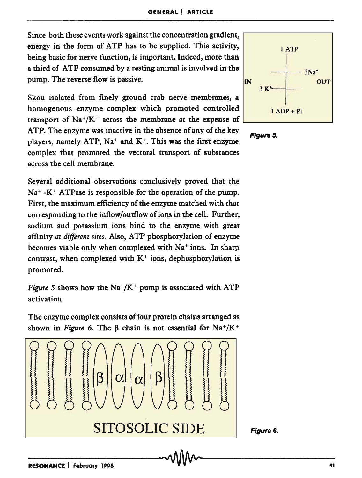Since both these events work against the concentration gradient, energy in the form of ATP has to be supplied. This activity, being basic for nerve function, is important. Indeed, more than a third of ATP consumed by a resting animal is involved in the pump. The reverse flow is passive.

Skou isolated from finely ground crab nerve membranes, a homogenous enzyme complex which promoted controlled transport of  $Na^+/K^+$  across the membrane at the expense of ATP. The enzyme was inactive in the absence of any of the key players, namely ATP,  $Na^+$  and  $K^+$ . This was the first enzyme complex that promoted the vectoral transport of substances across the cell membrane.

Several additional observations conclusively proved that the  $Na<sup>+</sup> - K<sup>+</sup> ATPase$  is responsible for the operation of the pump. First, the maximum efficiency of the enzyme matched with that corresponding to the inflow/outflow of ions in the cell. Further, sodium and potassium ions bind to the enzyme with great affinity *at different sites.* Also, ATP phosphorylation of enzyme becomes viable only when complexed with Na<sup>+</sup> ions. In sharp contrast, when complexed with  $K^+$  ions, dephosphorylation is promoted.

*Figure* 5 shows how the  $Na^{+}/K^{+}$  pump is associated with ATP activation.

The enzyme complex consists of four protein chains arranged as shown in *Figure 6*. The  $\beta$  chain is not essential for Na<sup>+</sup>/K<sup>+</sup>







Figure 6.